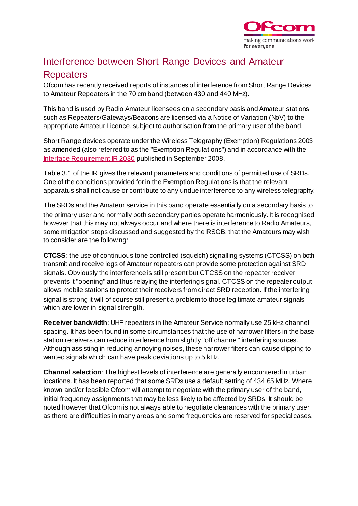

## Interference between Short Range Devices and Amateur Repeaters

Ofcom has recently received reports of instances of interference from Short Range Devices to Amateur Repeaters in the 70 cm band (between 430 and 440 MHz).

This band is used by Radio Amateur licensees on a secondary basis and Amateur stations such as Repeaters/Gateways/Beacons are licensed via a Notice of Variation (NoV) to the appropriate Amateur Licence, subject to authorisation from the primary user of the band.

Short Range devices operate under the Wireless Telegraphy (Exemption) Regulations 2003 as amended (also referred to as the "Exemption Regulations") and in accordance with the [Interface Requirement IR 2030](http://www.ofcom.org.uk/spectrum/information/) published in September 2008.

Table 3.1 of the IR gives the relevant parameters and conditions of permitted use of SRDs. One of the conditions provided for in the Exemption Regulations is that the relevant apparatus shall not cause or contribute to any undue interference to any wireless telegraphy.

The SRDs and the Amateur service in this band operate essentially on a secondary basis to the primary user and normally both secondary parties operate harmoniously. It is recognised however that this may not always occur and where there is interference to Radio Amateurs, some mitigation steps discussed and suggested by the RSGB, that the Amateurs may wish to consider are the following:

**CTCSS**: the use of continuous tone controlled (squelch) signalling systems (CTCSS) on both transmit and receive legs of Amateur repeaters can provide some protection against SRD signals. Obviously the interference is still present but CTCSS on the repeater receiver prevents it "opening" and thus relaying the interfering signal. CTCSS on the repeater output allows mobile stations to protect their receivers from direct SRD reception. If the interfering signal is strong it will of course still present a problem to those legitimate amateur signals which are lower in signal strength.

**Receiver bandwidth**: UHF repeaters in the Amateur Service normally use 25 kHz channel spacing. It has been found in some circumstances that the use of narrower filters in the base station receivers can reduce interference from slightly "off channel" interfering sources. Although assisting in reducing annoying noises, these narrower filters can cause clipping to wanted signals which can have peak deviations up to 5 kHz.

**Channel selection**: The highest levels of interference are generally encountered in urban locations. It has been reported that some SRDs use a default setting of 434.65 MHz. Where known and/or feasible Ofcom will attempt to negotiate with the primary user of the band, initial frequency assignments that may be less likely to be affected by SRDs. It should be noted however that Ofcom is not always able to negotiate clearances with the primary user as there are difficulties in many areas and some frequencies are reserved for special cases.